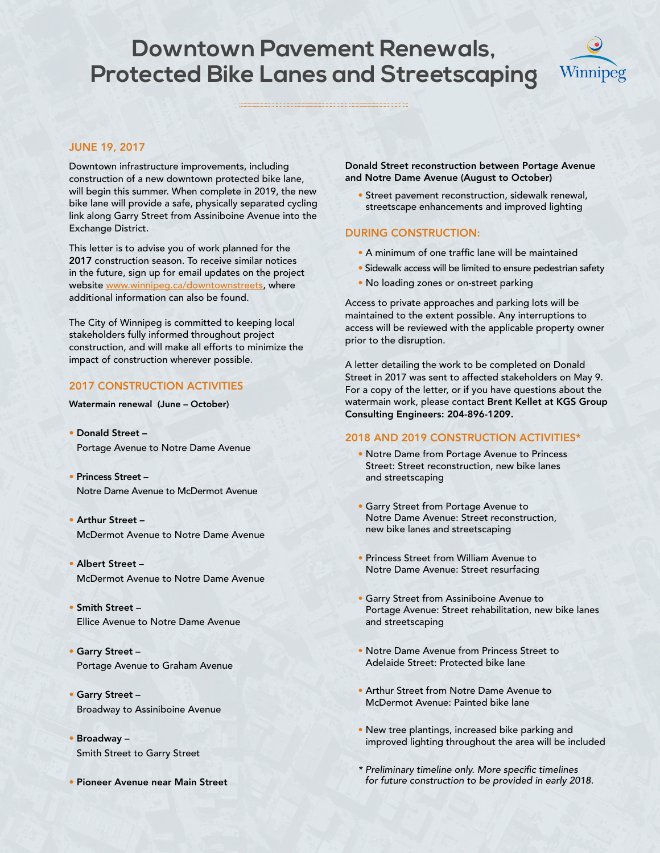### **Downtown Pavement Renewals, Protected Bike Lanes and Streetscaping**



#### JUNE 19, 2017

Downtown infrastructure improvements, including construction of a new downtown protected bike lane, will begin this summer. When complete in 2019, the new bike lane will provide a safe, physically separated cycling link along Garry Street from Assiniboine Avenue into the Exchange District.

This letter is to advise you of work planned for the 2017 construction season. To receive similar notices in the future, sign up for email updates on the project website www.winnipeg.ca/downtownstreets, where additional information can also be found.

The City of Winnipeg is committed to keeping local stakeholders fully informed throughout project construction, and will make all efforts to minimize the impact of construction wherever possible.

#### 2017 CONSTRUCTION ACTIVITIES

Watermain renewal (June – October)

- Donald Street Portage Avenue to Notre Dame Avenue
- Princess Street Notre Dame Avenue to McDermot Avenue
- Arthur Street McDermot Avenue to Notre Dame Avenue
- Albert Street McDermot Avenue to Notre Dame Avenue
- Smith Street Ellice Avenue to Notre Dame Avenue
- Garry Street Portage Avenue to Graham Avenue
- Garry Street Broadway to Assiniboine Avenue
- Broadway Smith Street to Garry Street
- Pioneer Avenue near Main Street

Donald Street reconstruction between Portage Avenue and Notre Dame Avenue (August to October)

• Street pavement reconstruction, sidewalk renewal, streetscape enhancements and improved lighting

#### DURING CONSTRUCTION:

- A minimum of one traffic lane will be maintained
- Sidewalk access will be limited to ensure pedestrian safety
- No loading zones or on-street parking

Access to private approaches and parking lots will be maintained to the extent possible. Any interruptions to access will be reviewed with the applicable property owner prior to the disruption.

A letter detailing the work to be completed on Donald Street in 2017 was sent to affected stakeholders on May 9. For a copy of the letter, or if you have questions about the watermain work, please contact Brent Kellet at KGS Group Consulting Engineers: 204-896-1209.

#### 2018 AND 2019 CONSTRUCTION ACTIVITIES\*

- Notre Dame from Portage Avenue to Princess Street: Street reconstruction, new bike lanes and streetscaping
- Garry Street from Portage Avenue to Notre Dame Avenue: Street reconstruction, new bike lanes and streetscaping
- Princess Street from William Avenue to Notre Dame Avenue: Street resurfacing
- Garry Street from Assiniboine Avenue to Portage Avenue: Street rehabilitation, new bike lanes and streetscaping
- Notre Dame Avenue from Princess Street to Adelaide Street: Protected bike lane
- Arthur Street from Notre Dame Avenue to McDermot Avenue: Painted bike lane
- New tree plantings, increased bike parking and improved lighting throughout the area will be included
- \* Preliminary timeline only. More specific timelines for future construction to be provided in early 2018.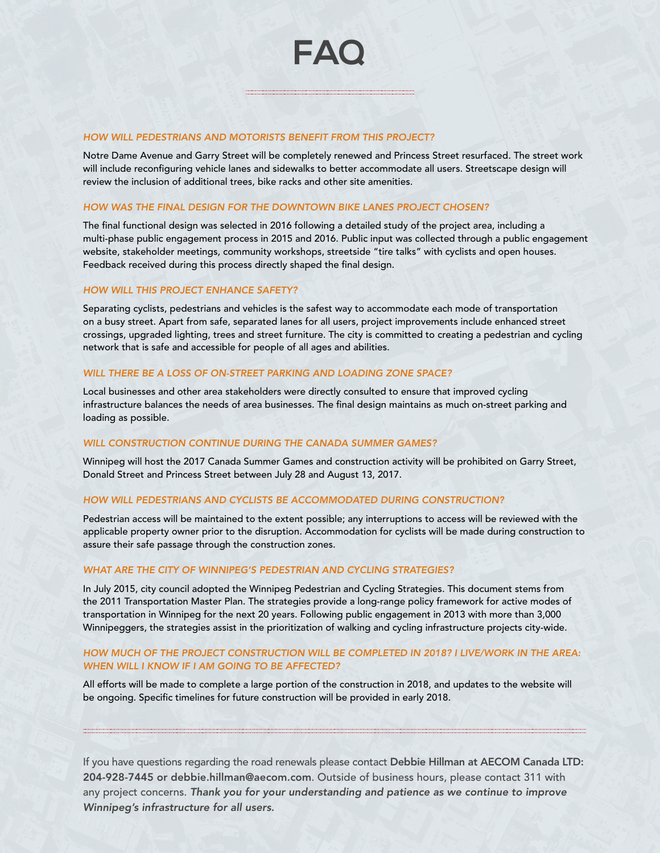Notre Dame Avenue and Garry Street will be completely renewed and Princess Street resurfaced. The street work will include reconfiguring vehicle lanes and sidewalks to better accommodate all users. Streetscape design will review the inclusion of additional trees, bike racks and other site amenities.

**FAQ**

#### HOW WAS THE FINAL DESIGN FOR THE DOWNTOWN BIKE LANES PROJECT CHOSEN?

The final functional design was selected in 2016 following a detailed study of the project area, including a multi-phase public engagement process in 2015 and 2016. Public input was collected through a public engagement website, stakeholder meetings, community workshops, streetside "tire talks" with cyclists and open houses. Feedback received during this process directly shaped the final design.

#### HOW WILL THIS PROJECT ENHANCE SAFETY?

Separating cyclists, pedestrians and vehicles is the safest way to accommodate each mode of transportation on a busy street. Apart from safe, separated lanes for all users, project improvements include enhanced street crossings, upgraded lighting, trees and street furniture. The city is committed to creating a pedestrian and cycling network that is safe and accessible for people of all ages and abilities.

#### WILL THERE BE A LOSS OF ON-STREET PARKING AND LOADING ZONE SPACE?

Local businesses and other area stakeholders were directly consulted to ensure that improved cycling infrastructure balances the needs of area businesses. The final design maintains as much on-street parking and loading as possible.

#### WILL CONSTRUCTION CONTINUE DURING THE CANADA SUMMER GAMES?

Winnipeg will host the 2017 Canada Summer Games and construction activity will be prohibited on Garry Street, Donald Street and Princess Street between July 28 and August 13, 2017.

#### HOW WILL PEDESTRIANS AND CYCLISTS BE ACCOMMODATED DURING CONSTRUCTION?

Pedestrian access will be maintained to the extent possible; any interruptions to access will be reviewed with the applicable property owner prior to the disruption. Accommodation for cyclists will be made during construction to assure their safe passage through the construction zones.

#### WHAT ARE THE CITY OF WINNIPEG'S PEDESTRIAN AND CYCLING STRATEGIES?

In July 2015, city council adopted the Winnipeg Pedestrian and Cycling Strategies. This document stems from the 2011 Transportation Master Plan. The strategies provide a long-range policy framework for active modes of transportation in Winnipeg for the next 20 years. Following public engagement in 2013 with more than 3,000 Winnipeggers, the strategies assist in the prioritization of walking and cycling infrastructure projects city-wide.

#### HOW MUCH OF THE PROJECT CONSTRUCTION WILL BE COMPLETED IN 2018? I LIVE/WORK IN THE AREA: WHEN WILL I KNOW IF I AM GOING TO BE AFFECTED?

All efforts will be made to complete a large portion of the construction in 2018, and updates to the website will be ongoing. Specific timelines for future construction will be provided in early 2018.

If you have questions regarding the road renewals please contact Debbie Hillman at AECOM Canada LTD: 204-928-7445 or debbie.hillman@aecom.com. Outside of business hours, please contact 311 with any project concerns. Thank you for your understanding and patience as we continue to improve Winnipeg's infrastructure for all users.